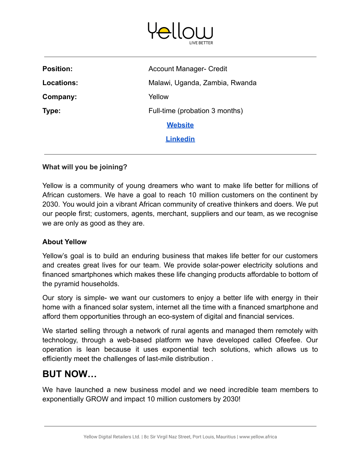

| <b>Position:</b> | <b>Account Manager- Credit</b> |
|------------------|--------------------------------|
| Locations:       | Malawi, Uganda, Zambia, Rwanda |
| Company:         | Yellow                         |
| Type:            | Full-time (probation 3 months) |
|                  | <b>Website</b>                 |
|                  | <b>Linkedin</b>                |
|                  |                                |

#### **What will you be joining?**

Yellow is a community of young dreamers who want to make life better for millions of African customers. We have a goal to reach 10 million customers on the continent by 2030. You would join a vibrant African community of creative thinkers and doers. We put our people first; customers, agents, merchant, suppliers and our team, as we recognise we are only as good as they are.

#### **About Yellow**

Yellow's goal is to build an enduring business that makes life better for our customers and creates great lives for our team. We provide solar-power electricity solutions and financed smartphones which makes these life changing products affordable to bottom of the pyramid households.

Our story is simple- we want our customers to enjoy a better life with energy in their home with a financed solar system, internet all the time with a financed smartphone and afford them opportunities through an eco-system of digital and financial services.

We started selling through a network of rural agents and managed them remotely with technology, through a web-based platform we have developed called Ofeefee. Our operation is lean because it uses exponential tech solutions, which allows us to efficiently meet the challenges of last-mile distribution .

# **BUT NOW…**

We have launched a new business model and we need incredible team members to exponentially GROW and impact 10 million customers by 2030!